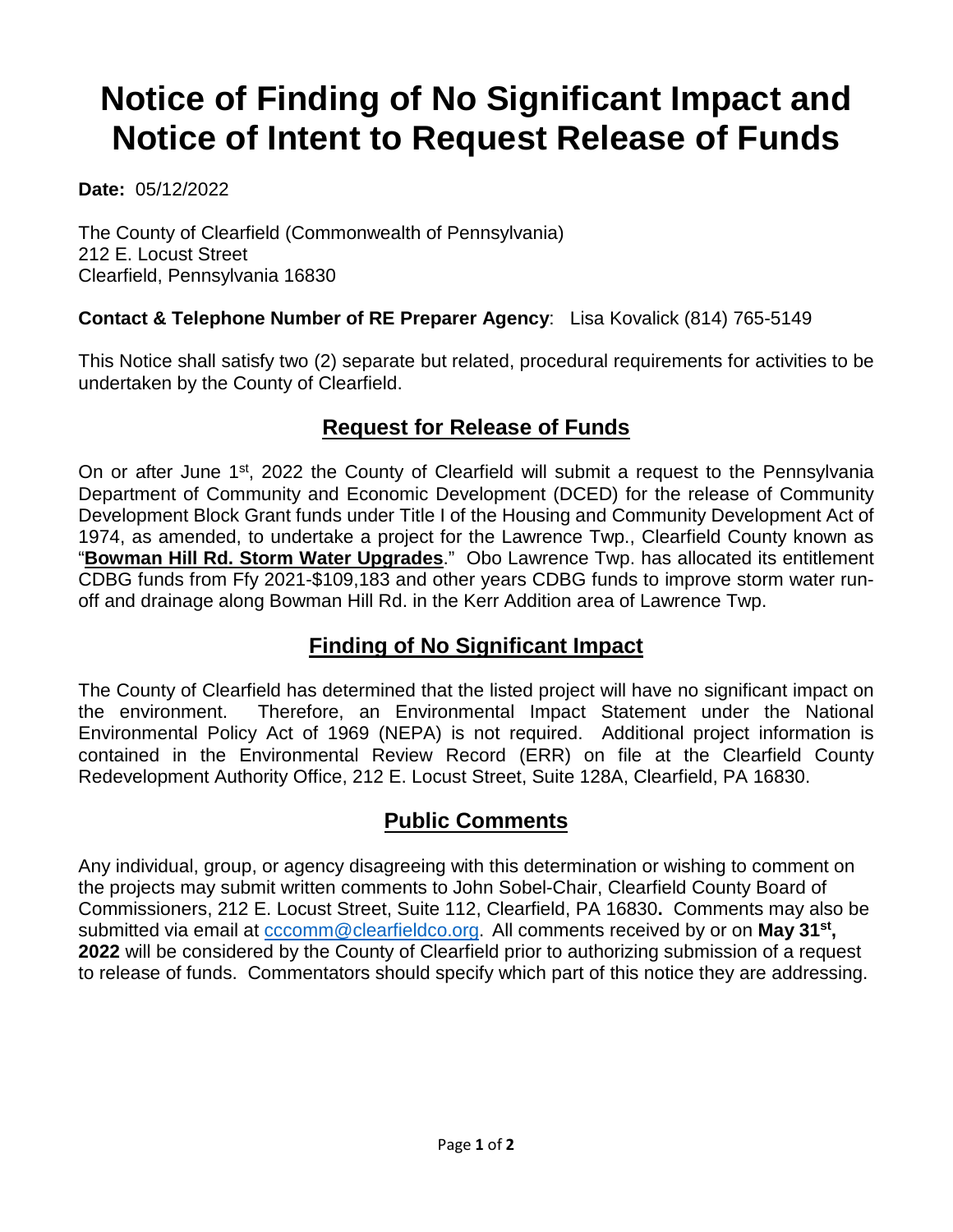# **Notice of Finding of No Significant Impact and Notice of Intent to Request Release of Funds**

**Date:** 05/12/2022

The County of Clearfield (Commonwealth of Pennsylvania) 212 E. Locust Street Clearfield, Pennsylvania 16830

#### **Contact & Telephone Number of RE Preparer Agency**: Lisa Kovalick (814) 765-5149

This Notice shall satisfy two (2) separate but related, procedural requirements for activities to be undertaken by the County of Clearfield.

## **Request for Release of Funds**

On or after June 1<sup>st</sup>, 2022 the County of Clearfield will submit a request to the Pennsylvania Department of Community and Economic Development (DCED) for the release of Community Development Block Grant funds under Title I of the Housing and Community Development Act of 1974, as amended, to undertake a project for the Lawrence Twp., Clearfield County known as "**Bowman Hill Rd. Storm Water Upgrades**." Obo Lawrence Twp. has allocated its entitlement CDBG funds from Ffy 2021-\$109,183 and other years CDBG funds to improve storm water runoff and drainage along Bowman Hill Rd. in the Kerr Addition area of Lawrence Twp.

#### **Finding of No Significant Impact**

The County of Clearfield has determined that the listed project will have no significant impact on the environment. Therefore, an Environmental Impact Statement under the National Environmental Policy Act of 1969 (NEPA) is not required. Additional project information is contained in the Environmental Review Record (ERR) on file at the Clearfield County Redevelopment Authority Office, 212 E. Locust Street, Suite 128A, Clearfield, PA 16830.

#### **Public Comments**

Any individual, group, or agency disagreeing with this determination or wishing to comment on the projects may submit written comments to John Sobel-Chair, Clearfield County Board of Commissioners, 212 E. Locust Street, Suite 112, Clearfield, PA 16830**.** Comments may also be submitted via email at [cccomm@clearfieldco.org.](mailto:cccomm@clearfieldco.org) All comments received by or on **May 31st, 2022** will be considered by the County of Clearfield prior to authorizing submission of a request to release of funds. Commentators should specify which part of this notice they are addressing.